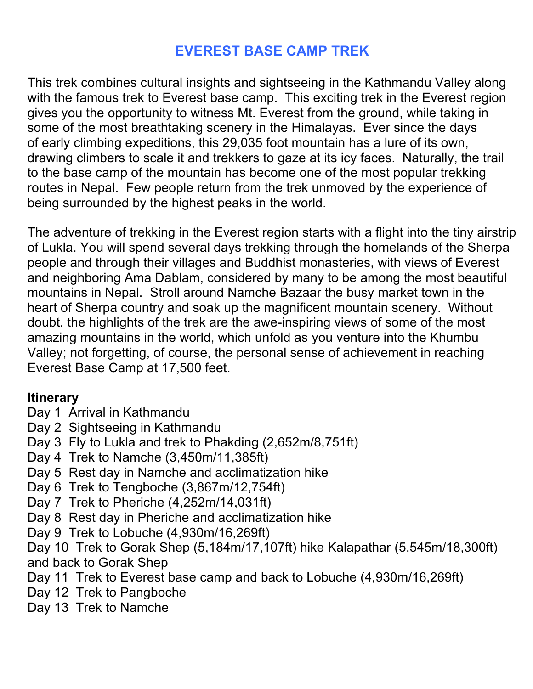# **EVEREST BASE CAMP TREK**

This trek combines cultural insights and sightseeing in the Kathmandu Valley along with the famous trek to Everest base camp. This exciting trek in the Everest region gives you the opportunity to witness Mt. Everest from the ground, while taking in some of the most breathtaking scenery in the Himalayas. Ever since the days of early climbing expeditions, this 29,035 foot mountain has a lure of its own, drawing climbers to scale it and trekkers to gaze at its icy faces. Naturally, the trail to the base camp of the mountain has become one of the most popular trekking routes in Nepal. Few people return from the trek unmoved by the experience of being surrounded by the highest peaks in the world.

The adventure of trekking in the Everest region starts with a flight into the tiny airstrip of Lukla. You will spend several days trekking through the homelands of the Sherpa people and through their villages and Buddhist monasteries, with views of Everest and neighboring Ama Dablam, considered by many to be among the most beautiful mountains in Nepal. Stroll around Namche Bazaar the busy market town in the heart of Sherpa country and soak up the magnificent mountain scenery. Without doubt, the highlights of the trek are the awe-inspiring views of some of the most amazing mountains in the world, which unfold as you venture into the Khumbu Valley; not forgetting, of course, the personal sense of achievement in reaching Everest Base Camp at 17,500 feet.

## **Itinerary**

- Day 1 Arrival in Kathmandu
- Day 2 Sightseeing in Kathmandu
- Day 3 Fly to Lukla and trek to Phakding (2,652m/8,751ft)
- Day 4 Trek to Namche (3,450m/11,385ft)
- Day 5 Rest day in Namche and acclimatization hike
- Day 6 Trek to Tengboche (3,867m/12,754ft)
- Day 7 Trek to Pheriche (4,252m/14,031ft)
- Day 8 Rest day in Pheriche and acclimatization hike
- Day 9 Trek to Lobuche (4,930m/16,269ft)
- Day 10 Trek to Gorak Shep (5,184m/17,107ft) hike Kalapathar (5,545m/18,300ft) and back to Gorak Shep
- Day 11 Trek to Everest base camp and back to Lobuche (4,930m/16,269ft)
- Day 12 Trek to Pangboche
- Day 13 Trek to Namche